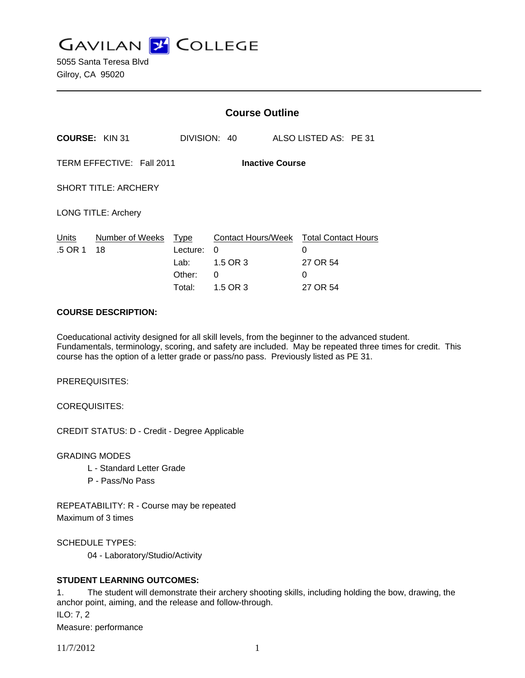

5055 Santa Teresa Blvd Gilroy, CA 95020

|                                                     |                       | <b>Course Outline</b>                               |                                                                          |  |                                              |  |
|-----------------------------------------------------|-----------------------|-----------------------------------------------------|--------------------------------------------------------------------------|--|----------------------------------------------|--|
|                                                     | <b>COURSE: KIN 31</b> | DIVISION: 40                                        |                                                                          |  | ALSO LISTED AS: PE 31                        |  |
| TERM EFFECTIVE: Fall 2011<br><b>Inactive Course</b> |                       |                                                     |                                                                          |  |                                              |  |
| <b>SHORT TITLE: ARCHERY</b>                         |                       |                                                     |                                                                          |  |                                              |  |
| <b>LONG TITLE: Archery</b>                          |                       |                                                     |                                                                          |  |                                              |  |
| Units<br>.5 OR 1                                    | Number of Weeks<br>18 | <b>Type</b><br>Lecture:<br>Lab:<br>Other:<br>Total: | Contact Hours/Week Total Contact Hours<br>0<br>1.5 OR 3<br>0<br>1.5 OR 3 |  | $\Omega$<br>27 OR 54<br>$\Omega$<br>27 OR 54 |  |

#### **COURSE DESCRIPTION:**

Coeducational activity designed for all skill levels, from the beginner to the advanced student. Fundamentals, terminology, scoring, and safety are included. May be repeated three times for credit. This course has the option of a letter grade or pass/no pass. Previously listed as PE 31.

PREREQUISITES:

COREQUISITES:

CREDIT STATUS: D - Credit - Degree Applicable

GRADING MODES

- L Standard Letter Grade
- P Pass/No Pass

REPEATABILITY: R - Course may be repeated Maximum of 3 times

SCHEDULE TYPES:

04 - Laboratory/Studio/Activity

## **STUDENT LEARNING OUTCOMES:**

1. The student will demonstrate their archery shooting skills, including holding the bow, drawing, the anchor point, aiming, and the release and follow-through. ILO: 7, 2

Measure: performance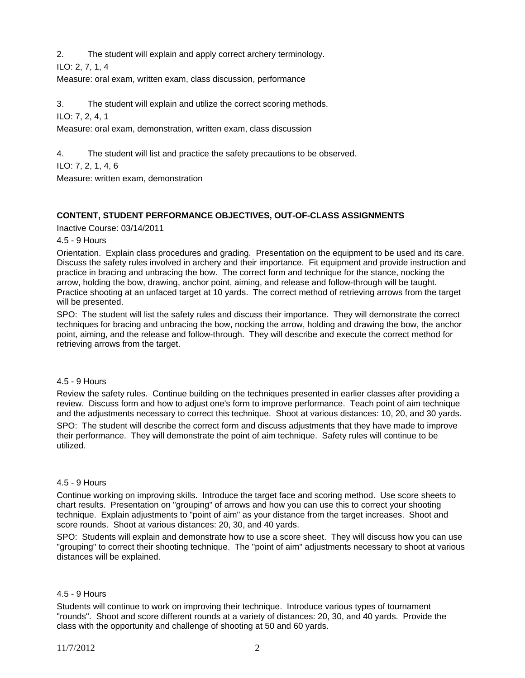2. The student will explain and apply correct archery terminology.

ILO: 2, 7, 1, 4

Measure: oral exam, written exam, class discussion, performance

3. The student will explain and utilize the correct scoring methods.

ILO: 7, 2, 4, 1

Measure: oral exam, demonstration, written exam, class discussion

4. The student will list and practice the safety precautions to be observed.

ILO: 7, 2, 1, 4, 6

Measure: written exam, demonstration

# **CONTENT, STUDENT PERFORMANCE OBJECTIVES, OUT-OF-CLASS ASSIGNMENTS**

Inactive Course: 03/14/2011

4.5 - 9 Hours

Orientation. Explain class procedures and grading. Presentation on the equipment to be used and its care. Discuss the safety rules involved in archery and their importance. Fit equipment and provide instruction and practice in bracing and unbracing the bow. The correct form and technique for the stance, nocking the arrow, holding the bow, drawing, anchor point, aiming, and release and follow-through will be taught. Practice shooting at an unfaced target at 10 yards. The correct method of retrieving arrows from the target will be presented.

SPO: The student will list the safety rules and discuss their importance. They will demonstrate the correct techniques for bracing and unbracing the bow, nocking the arrow, holding and drawing the bow, the anchor point, aiming, and the release and follow-through. They will describe and execute the correct method for retrieving arrows from the target.

## 4.5 - 9 Hours

Review the safety rules. Continue building on the techniques presented in earlier classes after providing a review. Discuss form and how to adjust one's form to improve performance. Teach point of aim technique and the adjustments necessary to correct this technique. Shoot at various distances: 10, 20, and 30 yards. SPO: The student will describe the correct form and discuss adjustments that they have made to improve their performance. They will demonstrate the point of aim technique. Safety rules will continue to be utilized.

#### 4.5 - 9 Hours

Continue working on improving skills. Introduce the target face and scoring method. Use score sheets to chart results. Presentation on "grouping" of arrows and how you can use this to correct your shooting technique. Explain adjustments to "point of aim" as your distance from the target increases. Shoot and score rounds. Shoot at various distances: 20, 30, and 40 yards.

SPO: Students will explain and demonstrate how to use a score sheet. They will discuss how you can use "grouping" to correct their shooting technique. The "point of aim" adjustments necessary to shoot at various distances will be explained.

## 4.5 - 9 Hours

Students will continue to work on improving their technique. Introduce various types of tournament "rounds". Shoot and score different rounds at a variety of distances: 20, 30, and 40 yards. Provide the class with the opportunity and challenge of shooting at 50 and 60 yards.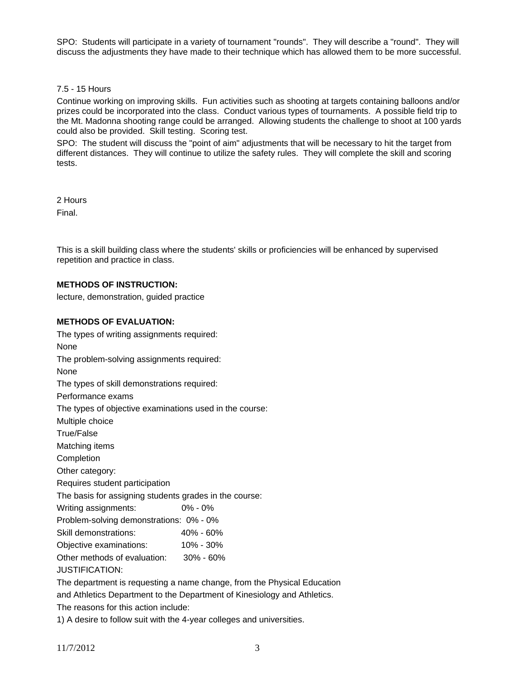SPO: Students will participate in a variety of tournament "rounds". They will describe a "round". They will discuss the adjustments they have made to their technique which has allowed them to be more successful.

#### 7.5 - 15 Hours

Continue working on improving skills. Fun activities such as shooting at targets containing balloons and/or prizes could be incorporated into the class. Conduct various types of tournaments. A possible field trip to the Mt. Madonna shooting range could be arranged. Allowing students the challenge to shoot at 100 yards could also be provided. Skill testing. Scoring test.

SPO: The student will discuss the "point of aim" adjustments that will be necessary to hit the target from different distances. They will continue to utilize the safety rules. They will complete the skill and scoring tests.

2 Hours Final.

This is a skill building class where the students' skills or proficiencies will be enhanced by supervised repetition and practice in class.

#### **METHODS OF INSTRUCTION:**

lecture, demonstration, guided practice

### **METHODS OF EVALUATION:**

The types of writing assignments required: None The problem-solving assignments required: None The types of skill demonstrations required: Performance exams The types of objective examinations used in the course: Multiple choice True/False Matching items **Completion** Other category: Requires student participation The basis for assigning students grades in the course: Writing assignments: 0% - 0% Problem-solving demonstrations: 0% - 0% Skill demonstrations: 40% - 60% Objective examinations: 10% - 30% Other methods of evaluation: 30% - 60% JUSTIFICATION: The department is requesting a name change, from the Physical Education and Athletics Department to the Department of Kinesiology and Athletics. The reasons for this action include:

1) A desire to follow suit with the 4-year colleges and universities.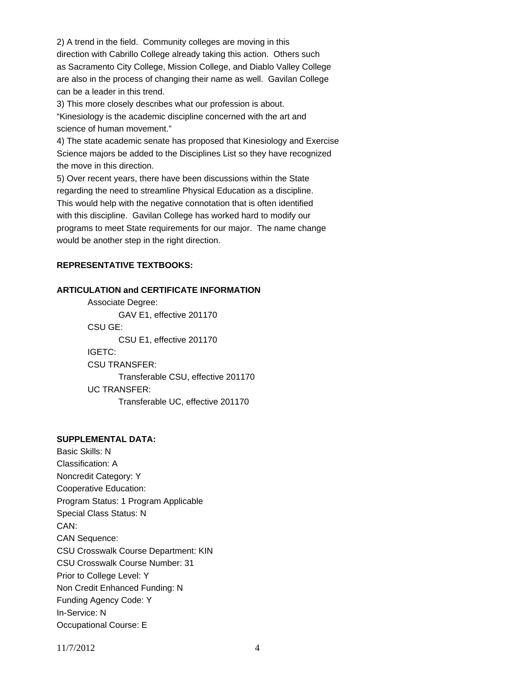2) A trend in the field. Community colleges are moving in this direction with Cabrillo College already taking this action. Others such as Sacramento City College, Mission College, and Diablo Valley College are also in the process of changing their name as well. Gavilan College can be a leader in this trend.

3) This more closely describes what our profession is about.

"Kinesiology is the academic discipline concerned with the art and science of human movement."

4) The state academic senate has proposed that Kinesiology and Exercise Science majors be added to the Disciplines List so they have recognized the move in this direction.

5) Over recent years, there have been discussions within the State regarding the need to streamline Physical Education as a discipline. This would help with the negative connotation that is often identified with this discipline. Gavilan College has worked hard to modify our programs to meet State requirements for our major. The name change would be another step in the right direction.

## **REPRESENTATIVE TEXTBOOKS:**

#### **ARTICULATION and CERTIFICATE INFORMATION**

 Associate Degree: GAV E1, effective 201170 CSU GE: CSU E1, effective 201170 IGETC: CSU TRANSFER: Transferable CSU, effective 201170 UC TRANSFER: Transferable UC, effective 201170

### **SUPPLEMENTAL DATA:**

Basic Skills: N Classification: A Noncredit Category: Y Cooperative Education: Program Status: 1 Program Applicable Special Class Status: N CAN: CAN Sequence: CSU Crosswalk Course Department: KIN CSU Crosswalk Course Number: 31 Prior to College Level: Y Non Credit Enhanced Funding: N Funding Agency Code: Y In-Service: N Occupational Course: E

11/7/2012 4